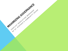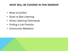## WHAT WILL BE COVERED IN THIS WEBINAR

- What is Conflict
- Good vs Bad Listening
- Active Listening Techniques
- Putting it into Practice
- Community Mediation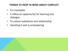## THINGS TO KEEP IN MIND ABOUT CONFLICT

- It's inevitable
- It offers an opportunity for learning and dialogue
- It's about substance and relationship
- Handling it well is empowering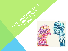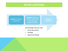#### ACTIVE LISTENING



Repeat what you heard: what they said, feelings, positive value

Pause for response

Acknowledge what you hear:

- Facts (key points)
- **Feelings**
- Values and Needs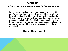# SCENARIO 1: COMMUNITY MEMBER APPROACHING BOARD

Faisal, a community member, approached your board to ask for support in a new initiative. You think the initiative has potential and is at least worthy of further exploration. The problem is that some of your board members have had personal conflicts with Faisal in the past (outside of the board), and you are worried that their personal feelings are getting in the way of being able to assess this initiative objectively.

How would you respond?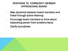## RESPONSE TO COMMUNITY MEMBER APPROACHING BOARD

- Map dynamics between board members and Faisal through active listening
- Encourage board members to think about separating person from problem/issue
- Clarify boundaries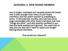### SCENARIO 2: NEW BOARD MEMBER

Inez is bright, motivated and recently joined the board. Inez is also younger than many of your board members, and her direct manner is unsettling to some. In the past few months, she has had some angry exchanges with other board members over how "things are done", and she recently confided in you that she feels isolated and ignored. You want Inez to stay, but you also don't want to upset your longerserving board members.

How would you respond?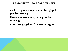### RESPONSE TO NEW BOARD MEMBER

- Avoid temptation to prematurely engage in problem solving
- Demonstrate empathy through active listening
- Acknowledging doesn't mean you agree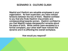### SCENARIO 3: CULTURE CLASH

Mashid and Vladimir are valuable employees in your organization. As their supervisor, you have noticed tensions between the two of them. Mashid confided to you that she finds Vladimir chauvinistic and condescending towards women. Vladimir confided to you that Mashid makes disrespectful remarks about his place of birth. While neither have escalated to a formal complaint, your other staff have noticed this dynamic and it is affecting the overall workplace.

How would you respond?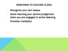## RESPONSE TO CULTURE CLASH

- Recognize your own biases
- Avoid inserting your opinion/judgement when you are engaged in active listening
- Consider mediation